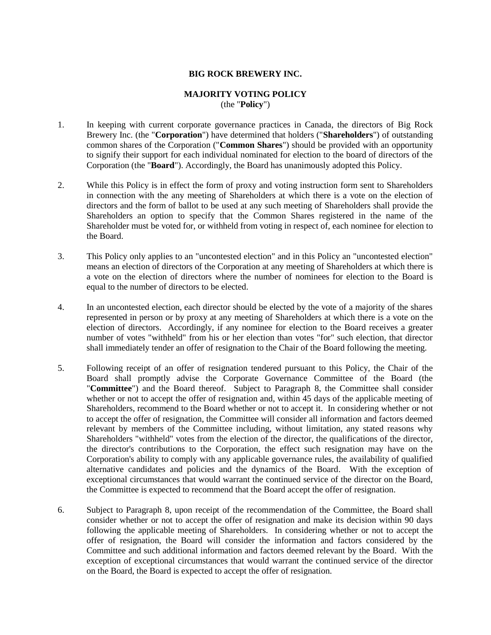## **BIG ROCK BREWERY INC.**

## **MAJORITY VOTING POLICY**  (the "**Policy**")

- 1. In keeping with current corporate governance practices in Canada, the directors of Big Rock Brewery Inc. (the "**Corporation**") have determined that holders ("**Shareholders**") of outstanding common shares of the Corporation ("**Common Shares**") should be provided with an opportunity to signify their support for each individual nominated for election to the board of directors of the Corporation (the "**Board**"). Accordingly, the Board has unanimously adopted this Policy.
- 2. While this Policy is in effect the form of proxy and voting instruction form sent to Shareholders in connection with the any meeting of Shareholders at which there is a vote on the election of directors and the form of ballot to be used at any such meeting of Shareholders shall provide the Shareholders an option to specify that the Common Shares registered in the name of the Shareholder must be voted for, or withheld from voting in respect of, each nominee for election to the Board.
- 3. This Policy only applies to an "uncontested election" and in this Policy an "uncontested election" means an election of directors of the Corporation at any meeting of Shareholders at which there is a vote on the election of directors where the number of nominees for election to the Board is equal to the number of directors to be elected.
- 4. In an uncontested election, each director should be elected by the vote of a majority of the shares represented in person or by proxy at any meeting of Shareholders at which there is a vote on the election of directors. Accordingly, if any nominee for election to the Board receives a greater number of votes "withheld" from his or her election than votes "for" such election, that director shall immediately tender an offer of resignation to the Chair of the Board following the meeting.
- 5. Following receipt of an offer of resignation tendered pursuant to this Policy, the Chair of the Board shall promptly advise the Corporate Governance Committee of the Board (the "**Committee**") and the Board thereof. Subject to Paragraph 8, the Committee shall consider whether or not to accept the offer of resignation and, within 45 days of the applicable meeting of Shareholders, recommend to the Board whether or not to accept it. In considering whether or not to accept the offer of resignation, the Committee will consider all information and factors deemed relevant by members of the Committee including, without limitation, any stated reasons why Shareholders "withheld" votes from the election of the director, the qualifications of the director, the director's contributions to the Corporation, the effect such resignation may have on the Corporation's ability to comply with any applicable governance rules, the availability of qualified alternative candidates and policies and the dynamics of the Board.With the exception of exceptional circumstances that would warrant the continued service of the director on the Board, the Committee is expected to recommend that the Board accept the offer of resignation.
- 6. Subject to Paragraph 8, upon receipt of the recommendation of the Committee, the Board shall consider whether or not to accept the offer of resignation and make its decision within 90 days following the applicable meeting of Shareholders. In considering whether or not to accept the offer of resignation, the Board will consider the information and factors considered by the Committee and such additional information and factors deemed relevant by the Board. With the exception of exceptional circumstances that would warrant the continued service of the director on the Board, the Board is expected to accept the offer of resignation.